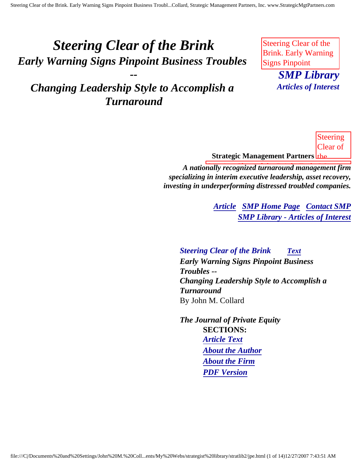# <span id="page-0-3"></span>*Steering Clear of the Brink Early Warning Signs Pinpoint Business Troubles*

Steering Clear of the Brink. Early Warning Signs Pinpoint

**SMP Library**  $\Delta$  which as of In *Interes of merest Articles of Interest*

#### <span id="page-0-2"></span><span id="page-0-0"></span>*Changing Leadership Style to Accomplish a Turnaround*

*--* 

Equity, Institutional Steering Clear of

Troubles and the contract of the contract of the contract of the contract of the contract of the contract of the contract of the contract of the contract of the contract of the contract of the contract of the contract of t

**Strategic Management Partners** the

Brink. Steering Clear of the Brink. Early Warning *A nationally recognized turnaround management firm* Early Signs Pinpoint Business Troubles by John *specializing in interim executive leadership, asset recovery, investing in underperforming distressed troubled companies.* 

> **[Article](#page-0-0) SMP** Home Page *[Contact SMP](#page-12-0)* **[SMP Library - Articles of Interest](http://members.aol.com/stratlib3/libindx.html#TOP)**

Management Partners, *Changing Leadership Style to Accomplish a Steering Clear of the Brink [Text](#page-1-0) Early Warning Signs Pinpoint Business Troubles -- Turnaround* By John M. Collard

<span id="page-0-1"></span>*The Journal of Private Equity* **SECTIONS:** *[Article Text](#page-1-0) [About the Author](#page-11-0) [About the Firm](#page-11-1) [PDF Version](http://members.aol.com/stratlib/jpe-ews.pdf)*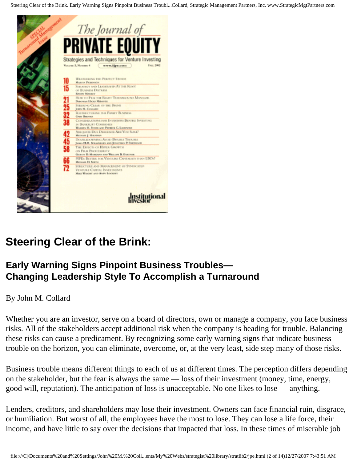

### <span id="page-1-0"></span>**Steering Clear of the Brink:**

#### **Early Warning Signs Pinpoint Business Troubles— Changing Leadership Style To Accomplish a Turnaround**

By John M. Collard

Whether you are an investor, serve on a board of directors, own or manage a company, you face business risks. All of the stakeholders accept additional risk when the company is heading for trouble. Balancing these risks can cause a predicament. By recognizing some early warning signs that indicate business trouble on the horizon, you can eliminate, overcome, or, at the very least, side step many of those risks.

Business trouble means different things to each of us at different times. The perception differs depending on the stakeholder, but the fear is always the same — loss of their investment (money, time, energy, good will, reputation). The anticipation of loss is unacceptable. No one likes to lose — anything.

Lenders, creditors, and shareholders may lose their investment. Owners can face financial ruin, disgrace, or humiliation. But worst of all, the employees have the most to lose. They can lose a life force, their income, and have little to say over the decisions that impacted that loss. In these times of miserable job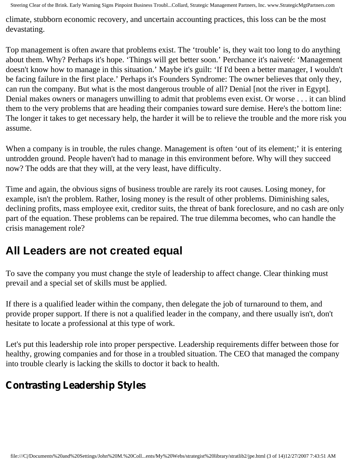climate, stubborn economic recovery, and uncertain accounting practices, this loss can be the most devastating.

Top management is often aware that problems exist. The 'trouble' is, they wait too long to do anything about them. Why? Perhaps it's hope. 'Things will get better soon.' Perchance it's naiveté: 'Management doesn't know how to manage in this situation.' Maybe it's guilt: 'If I'd been a better manager, I wouldn't be facing failure in the first place.' Perhaps it's Founders Syndrome: The owner believes that only they, can run the company. But what is the most dangerous trouble of all? Denial [not the river in Egypt]. Denial makes owners or managers unwilling to admit that problems even exist. Or worse . . . it can blind them to the very problems that are heading their companies toward sure demise. Here's the bottom line: The longer it takes to get necessary help, the harder it will be to relieve the trouble and the more risk you assume.

When a company is in trouble, the rules change. Management is often 'out of its element;' it is entering untrodden ground. People haven't had to manage in this environment before. Why will they succeed now? The odds are that they will, at the very least, have difficulty.

Time and again, the obvious signs of business trouble are rarely its root causes. Losing money, for example, isn't the problem. Rather, losing money is the result of other problems. Diminishing sales, declining profits, mass employee exit, creditor suits, the threat of bank foreclosure, and no cash are only part of the equation. These problems can be repaired. The true dilemma becomes, who can handle the crisis management role?

### **All Leaders are not created equal**

To save the company you must change the style of leadership to affect change. Clear thinking must prevail and a special set of skills must be applied.

If there is a qualified leader within the company, then delegate the job of turnaround to them, and provide proper support. If there is not a qualified leader in the company, and there usually isn't, don't hesitate to locate a professional at this type of work.

Let's put this leadership role into proper perspective. Leadership requirements differ between those for healthy, growing companies and for those in a troubled situation. The CEO that managed the company into trouble clearly is lacking the skills to doctor it back to health.

### **Contrasting Leadership Styles**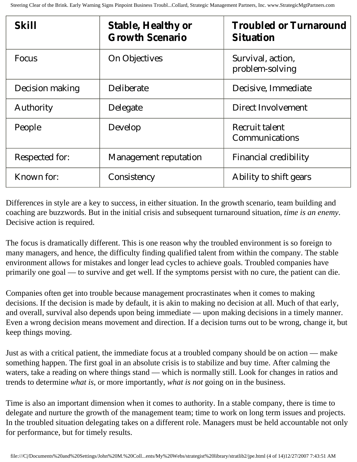| <b>Skill</b>     | <b>Stable, Healthy or</b><br><b>Growth Scenario</b> | <b>Troubled or Turnaround</b><br><b>Situation</b> |
|------------------|-----------------------------------------------------|---------------------------------------------------|
| <b>Focus</b>     | <b>On Objectives</b>                                | Survival, action,<br>problem-solving              |
| Decision making  | <b>Deliberate</b>                                   | Decisive, Immediate                               |
| <b>Authority</b> | Delegate                                            | <b>Direct Involvement</b>                         |
| People           | Develop                                             | Recruit talent<br>Communications                  |
| Respected for:   | <b>Management reputation</b>                        | <b>Financial credibility</b>                      |
| Known for:       | Consistency                                         | Ability to shift gears                            |

Differences in style are a key to success, in either situation. In the growth scenario, team building and coaching are buzzwords. But in the initial crisis and subsequent turnaround situation, *time is an enemy*. Decisive action is required.

The focus is dramatically different. This is one reason why the troubled environment is so foreign to many managers, and hence, the difficulty finding qualified talent from within the company. The stable environment allows for mistakes and longer lead cycles to achieve goals. Troubled companies have primarily one goal — to survive and get well. If the symptoms persist with no cure, the patient can die.

Companies often get into trouble because management procrastinates when it comes to making decisions. If the decision is made by default, it is akin to making no decision at all. Much of that early, and overall, survival also depends upon being immediate — upon making decisions in a timely manner. Even a wrong decision means movement and direction. If a decision turns out to be wrong, change it, but keep things moving.

Just as with a critical patient, the immediate focus at a troubled company should be on action — make something happen. The first goal in an absolute crisis is to stabilize and buy time. After calming the waters, take a reading on where things stand — which is normally still. Look for changes in ratios and trends to determine *what is*, or more importantly, *what is not* going on in the business.

Time is also an important dimension when it comes to authority. In a stable company, there is time to delegate and nurture the growth of the management team; time to work on long term issues and projects. In the troubled situation delegating takes on a different role. Managers must be held accountable not only for performance, but for timely results.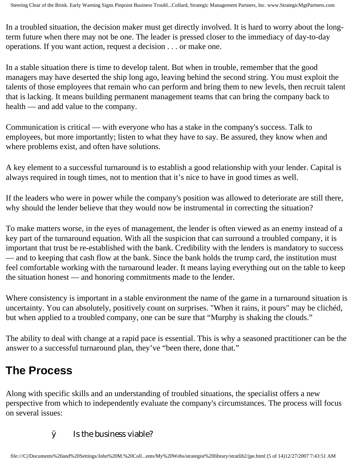In a troubled situation, the decision maker must get directly involved. It is hard to worry about the longterm future when there may not be one. The leader is pressed closer to the immediacy of day-to-day operations. If you want action, request a decision . . . or make one.

In a stable situation there is time to develop talent. But when in trouble, remember that the good managers may have deserted the ship long ago, leaving behind the second string. You must exploit the talents of those employees that remain who can perform and bring them to new levels, then recruit talent that is lacking. It means building permanent management teams that can bring the company back to health — and add value to the company.

Communication is critical — with everyone who has a stake in the company's success. Talk to employees, but more importantly; listen to what they have to say. Be assured, they know when and where problems exist, and often have solutions.

A key element to a successful turnaround is to establish a good relationship with your lender. Capital is always required in tough times, not to mention that it's nice to have in good times as well.

If the leaders who were in power while the company's position was allowed to deteriorate are still there, why should the lender believe that they would now be instrumental in correcting the situation?

To make matters worse, in the eyes of management, the lender is often viewed as an enemy instead of a key part of the turnaround equation. With all the suspicion that can surround a troubled company, it is important that trust be re-established with the bank. Credibility with the lenders is mandatory to success — and to keeping that cash flow at the bank. Since the bank holds the trump card, the institution must feel comfortable working with the turnaround leader. It means laying everything out on the table to keep the situation honest — and honoring commitments made to the lender.

Where consistency is important in a stable environment the name of the game in a turnaround situation is uncertainty. You can absolutely, positively count on surprises. "When it rains, it pours" may be clichéd, but when applied to a troubled company, one can be sure that "Murphy is shaking the clouds."

The ability to deal with change at a rapid pace is essential. This is why a seasoned practitioner can be the answer to a successful turnaround plan, they've "been there, done that."

### **The Process**

Along with specific skills and an understanding of troubled situations, the specialist offers a new perspective from which to independently evaluate the company's circumstances. The process will focus on several issues:

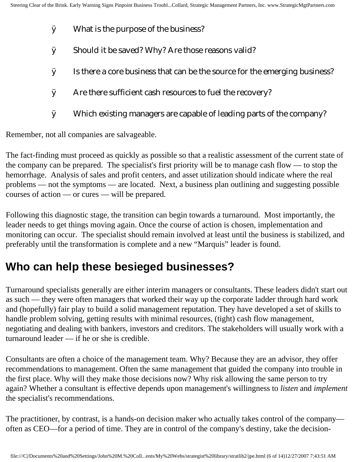- Ø What is the purpose of the business?
- Ø Should it be saved? Why? Are those reasons valid?
- Ø Is there a core business that can be the source for the emerging business?
- Ø Are there sufficient cash resources to fuel the recovery?
- Ø Which existing managers are capable of leading parts of the company?

Remember, not all companies are salvageable.

The fact-finding must proceed as quickly as possible so that a realistic assessment of the current state of the company can be prepared. The specialist's first priority will be to manage cash flow — to stop the hemorrhage. Analysis of sales and profit centers, and asset utilization should indicate where the real problems — not the symptoms — are located. Next, a business plan outlining and suggesting possible courses of action — or cures — will be prepared.

Following this diagnostic stage, the transition can begin towards a turnaround. Most importantly, the leader needs to get things moving again. Once the course of action is chosen, implementation and monitoring can occur. The specialist should remain involved at least until the business is stabilized, and preferably until the transformation is complete and a new "Marquis" leader is found.

### **Who can help these besieged businesses?**

Turnaround specialists generally are either interim managers or consultants. These leaders didn't start out as such — they were often managers that worked their way up the corporate ladder through hard work and (hopefully) fair play to build a solid management reputation. They have developed a set of skills to handle problem solving, getting results with minimal resources, (tight) cash flow management, negotiating and dealing with bankers, investors and creditors. The stakeholders will usually work with a turnaround leader — if he or she is credible.

Consultants are often a choice of the management team. Why? Because they are an advisor, they offer recommendations to management. Often the same management that guided the company into trouble in the first place. Why will they make those decisions now? Why risk allowing the same person to try again? Whether a consultant is effective depends upon management's willingness to *listen* and *implement* the specialist's recommendations.

The practitioner, by contrast, is a hands-on decision maker who actually takes control of the company often as CEO—for a period of time. They are in control of the company's destiny, take the decision-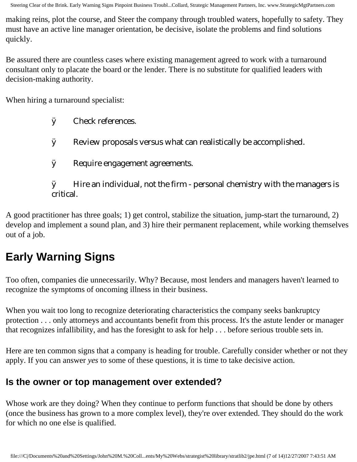making reins, plot the course, and Steer the company through troubled waters, hopefully to safety. They must have an active line manager orientation, be decisive, isolate the problems and find solutions quickly.

Be assured there are countless cases where existing management agreed to work with a turnaround consultant only to placate the board or the lender. There is no substitute for qualified leaders with decision-making authority.

When hiring a turnaround specialist:

- Ø Check references.
- Ø Review proposals versus what can realistically be accomplished.
- **Ø** Require engagement agreements.
- Ø Hire an individual, not the firm personal chemistry with the managers is critical.

A good practitioner has three goals; 1) get control, stabilize the situation, jump-start the turnaround, 2) develop and implement a sound plan, and 3) hire their permanent replacement, while working themselves out of a job.

# **Early Warning Signs**

Too often, companies die unnecessarily. Why? Because, most lenders and managers haven't learned to recognize the symptoms of oncoming illness in their business.

When you wait too long to recognize deteriorating characteristics the company seeks bankruptcy protection . . . only attorneys and accountants benefit from this process. It's the astute lender or manager that recognizes infallibility, and has the foresight to ask for help . . . before serious trouble sets in.

Here are ten common signs that a company is heading for trouble. Carefully consider whether or not they apply. If you can answer *yes* to some of these questions, it is time to take decisive action.

#### **Is the owner or top management over extended?**

Whose work are they doing? When they continue to perform functions that should be done by others (once the business has grown to a more complex level), they're over extended. They should do the work for which no one else is qualified.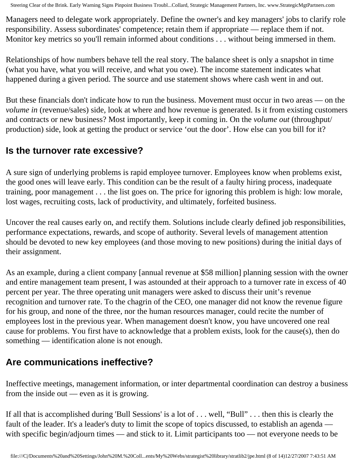Managers need to delegate work appropriately. Define the owner's and key managers' jobs to clarify role responsibility. Assess subordinates' competence; retain them if appropriate — replace them if not. Monitor key metrics so you'll remain informed about conditions . . . without being immersed in them.

Relationships of how numbers behave tell the real story. The balance sheet is only a snapshot in time (what you have, what you will receive, and what you owe). The income statement indicates what happened during a given period. The source and use statement shows where cash went in and out.

But these financials don't indicate how to run the business. Movement must occur in two areas — on the *volume in* (revenue/sales) side, look at where and how revenue is generated. Is it from existing customers and contracts or new business? Most importantly, keep it coming in. On the *volume out* (throughput/ production) side, look at getting the product or service 'out the door'. How else can you bill for it?

#### **Is the turnover rate excessive?**

A sure sign of underlying problems is rapid employee turnover. Employees know when problems exist, the good ones will leave early. This condition can be the result of a faulty hiring process, inadequate training, poor management . . . the list goes on. The price for ignoring this problem is high: low morale, lost wages, recruiting costs, lack of productivity, and ultimately, forfeited business.

Uncover the real causes early on, and rectify them. Solutions include clearly defined job responsibilities, performance expectations, rewards, and scope of authority. Several levels of management attention should be devoted to new key employees (and those moving to new positions) during the initial days of their assignment.

As an example, during a client company [annual revenue at \$58 million] planning session with the owner and entire management team present, I was astounded at their approach to a turnover rate in excess of 40 percent per year. The three operating unit managers were asked to discuss their unit's revenue recognition and turnover rate. To the chagrin of the CEO, one manager did not know the revenue figure for his group, and none of the three, nor the human resources manager, could recite the number of employees lost in the previous year. When management doesn't know, you have uncovered one real cause for problems. You first have to acknowledge that a problem exists, look for the cause(s), then do something — identification alone is not enough.

#### **Are communications ineffective?**

Ineffective meetings, management information, or inter departmental coordination can destroy a business from the inside out — even as it is growing.

If all that is accomplished during 'Bull Sessions' is a lot of . . . well, "Bull" . . . then this is clearly the fault of the leader. It's a leader's duty to limit the scope of topics discussed, to establish an agenda with specific begin/adjourn times — and stick to it. Limit participants too — not everyone needs to be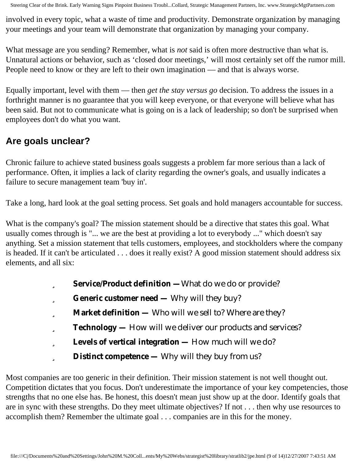involved in every topic, what a waste of time and productivity. Demonstrate organization by managing your meetings and your team will demonstrate that organization by managing your company.

What message are you sending? Remember, what is *not* said is often more destructive than what is. Unnatural actions or behavior, such as 'closed door meetings,' will most certainly set off the rumor mill. People need to know or they are left to their own imagination — and that is always worse.

Equally important, level with them — then *get the stay versus go* decision. To address the issues in a forthright manner is no guarantee that you will keep everyone, or that everyone will believe what has been said. But not to communicate what is going on is a lack of leadership; so don't be surprised when employees don't do what you want.

#### **Are goals unclear?**

Chronic failure to achieve stated business goals suggests a problem far more serious than a lack of performance. Often, it implies a lack of clarity regarding the owner's goals, and usually indicates a failure to secure management team 'buy in'.

Take a long, hard look at the goal setting process. Set goals and hold managers accountable for success.

What is the company's goal? The mission statement should be a directive that states this goal. What usually comes through is "... we are the best at providing a lot to everybody ..." which doesn't say anything. Set a mission statement that tells customers, employees, and stockholders where the company is headed. If it can't be articulated . . . does it really exist? A good mission statement should address six elements, and all six:

- ü **Service/Product definition —**What do we do or provide?
- ü **Generic customer need** Why will they buy?
- ü **Market definition** Who will we sell to? Where are they?
- ü **Technology** How will we deliver our products and services?
- ü **Levels of vertical integration** How much will we do?
- **ü** Distinct competence Why will they buy from us?

Most companies are too generic in their definition. Their mission statement is not well thought out. Competition dictates that you focus. Don't underestimate the importance of your key competencies, those strengths that no one else has. Be honest, this doesn't mean just show up at the door. Identify goals that are in sync with these strengths. Do they meet ultimate objectives? If not . . . then why use resources to accomplish them? Remember the ultimate goal . . . companies are in this for the money.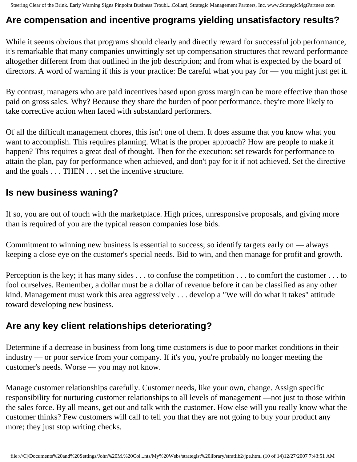#### **Are compensation and incentive programs yielding unsatisfactory results?**

While it seems obvious that programs should clearly and directly reward for successful job performance, it's remarkable that many companies unwittingly set up compensation structures that reward performance altogether different from that outlined in the job description; and from what is expected by the board of directors. A word of warning if this is your practice: Be careful what you pay for — you might just get it.

By contrast, managers who are paid incentives based upon gross margin can be more effective than those paid on gross sales. Why? Because they share the burden of poor performance, they're more likely to take corrective action when faced with substandard performers.

Of all the difficult management chores, this isn't one of them. It does assume that you know what you want to accomplish. This requires planning. What is the proper approach? How are people to make it happen? This requires a great deal of thought. Then for the execution: set rewards for performance to attain the plan, pay for performance when achieved, and don't pay for it if not achieved. Set the directive and the goals . . . THEN . . . set the incentive structure.

#### **Is new business waning?**

If so, you are out of touch with the marketplace. High prices, unresponsive proposals, and giving more than is required of you are the typical reason companies lose bids.

Commitment to winning new business is essential to success; so identify targets early on — always keeping a close eye on the customer's special needs. Bid to win, and then manage for profit and growth.

Perception is the key; it has many sides . . . to confuse the competition . . . to comfort the customer . . . to fool ourselves. Remember, a dollar must be a dollar of revenue before it can be classified as any other kind. Management must work this area aggressively . . . develop a "We will do what it takes" attitude toward developing new business.

#### **Are any key client relationships deteriorating?**

Determine if a decrease in business from long time customers is due to poor market conditions in their industry — or poor service from your company. If it's you, you're probably no longer meeting the customer's needs. Worse — you may not know.

Manage customer relationships carefully. Customer needs, like your own, change. Assign specific responsibility for nurturing customer relationships to all levels of management —not just to those within the sales force. By all means, get out and talk with the customer. How else will you really know what the customer thinks? Few customers will call to tell you that they are not going to buy your product any more; they just stop writing checks.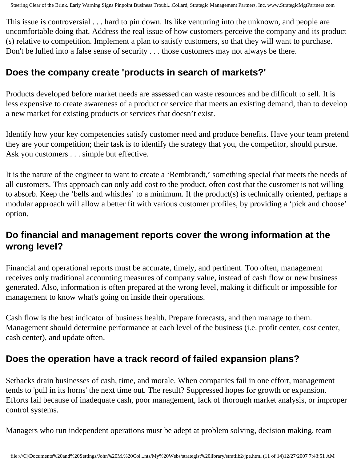This issue is controversial . . . hard to pin down. Its like venturing into the unknown, and people are uncomfortable doing that. Address the real issue of how customers perceive the company and its product (s) relative to competition. Implement a plan to satisfy customers, so that they will want to purchase. Don't be lulled into a false sense of security . . . those customers may not always be there.

#### **Does the company create 'products in search of markets?'**

Products developed before market needs are assessed can waste resources and be difficult to sell. It is less expensive to create awareness of a product or service that meets an existing demand, than to develop a new market for existing products or services that doesn't exist.

Identify how your key competencies satisfy customer need and produce benefits. Have your team pretend they are your competition; their task is to identify the strategy that you, the competitor, should pursue. Ask you customers . . . simple but effective.

It is the nature of the engineer to want to create a 'Rembrandt,' something special that meets the needs of all customers. This approach can only add cost to the product, often cost that the customer is not willing to absorb. Keep the 'bells and whistles' to a minimum. If the product(s) is technically oriented, perhaps a modular approach will allow a better fit with various customer profiles, by providing a 'pick and choose' option.

#### **Do financial and management reports cover the wrong information at the wrong level?**

Financial and operational reports must be accurate, timely, and pertinent. Too often, management receives only traditional accounting measures of company value, instead of cash flow or new business generated. Also, information is often prepared at the wrong level, making it difficult or impossible for management to know what's going on inside their operations.

Cash flow is the best indicator of business health. Prepare forecasts, and then manage to them. Management should determine performance at each level of the business (i.e. profit center, cost center, cash center), and update often.

#### **Does the operation have a track record of failed expansion plans?**

Setbacks drain businesses of cash, time, and morale. When companies fail in one effort, management tends to 'pull in its horns' the next time out. The result? Suppressed hopes for growth or expansion. Efforts fail because of inadequate cash, poor management, lack of thorough market analysis, or improper control systems.

Managers who run independent operations must be adept at problem solving, decision making, team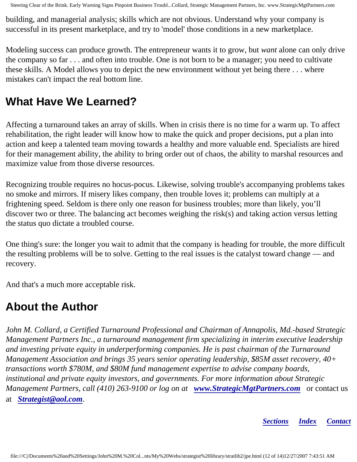building, and managerial analysis; skills which are not obvious. Understand why your company is successful in its present marketplace, and try to 'model' those conditions in a new marketplace.

Modeling success can produce growth. The entrepreneur wants it to grow, but *want* alone can only drive the company so far . . . and often into trouble. One is not born to be a manager; you need to cultivate these skills. A Model allows you to depict the new environment without yet being there . . . where mistakes can't impact the real bottom line.

### **What Have We Learned?**

Affecting a turnaround takes an array of skills. When in crisis there is no time for a warm up. To affect rehabilitation, the right leader will know how to make the quick and proper decisions, put a plan into action and keep a talented team moving towards a healthy and more valuable end. Specialists are hired for their management ability, the ability to bring order out of chaos, the ability to marshal resources and maximize value from those diverse resources.

Recognizing trouble requires no hocus-pocus. Likewise, solving trouble's accompanying problems takes no smoke and mirrors. If misery likes company, then trouble loves it; problems can multiply at a frightening speed. Seldom is there only one reason for business troubles; more than likely, you'll discover two or three. The balancing act becomes weighing the risk(s) and taking action versus letting the status quo dictate a troubled course.

One thing's sure: the longer you wait to admit that the company is heading for trouble, the more difficult the resulting problems will be to solve. Getting to the real issues is the catalyst toward change — and recovery.

And that's a much more acceptable risk.

## <span id="page-11-0"></span>**About the Author**

<span id="page-11-1"></span>*John M. Collard, a Certified Turnaround Professional and Chairman of Annapolis, Md.-based Strategic Management Partners Inc., a turnaround management firm specializing in interim executive leadership and investing private equity in underperforming companies. He is past chairman of the Turnaround Management Association and brings 35 years senior operating leadership, \$85M asset recovery, 40+ transactions worth \$780M, and \$80M fund management expertise to advise company boards, institutional and private equity investors, and governments. For more information about Strategic Management Partners, call (410) 263-9100 or log on at [www.StrategicMgtPartners.com](http://members.aol.com/strategist/home.html#TOP)* or contact us at *[Strategist@aol.com](mailto:Strategist@aol.com?subject=SMPlibrary/feature articles)*.

*[Sections](#page-0-1) [Index](#page-0-2) [Contact](#page-12-0)*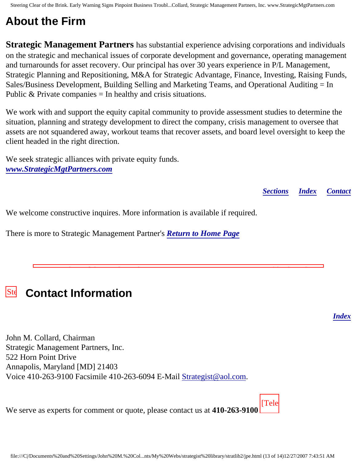### **About the Firm**

**Strategic Management Partners** has substantial experience advising corporations and individuals on the strategic and mechanical issues of corporate development and governance, operating management and turnarounds for asset recovery. Our principal has over 30 years experience in P/L Management, Strategic Planning and Repositioning, M&A for Strategic Advantage, Finance, Investing, Raising Funds, Sales/Business Development, Building Selling and Marketing Teams, and Operational Auditing = In Public  $\&$  Private companies  $=$  In healthy and crisis situations.

We work with and support the equity capital community to provide assessment studies to determine the situation, planning and strategy development to direct the company, crisis management to oversee that assets are not squandered away, workout teams that recover assets, and board level oversight to keep the client headed in the right direction.

Steering Clear of the Brink. Early Warning Signs Pinpoint Business Troubles by John

We seek strategic alliances with private equity funds. *[www.StrategicMgtPartners.com](http://members.aol.com/strategist/home.html#TOP)*

*[Sections](#page-0-1) [Index](#page-0-2) [Contact](#page-12-0)*

We welcome constructive inquires. More information is available if required.

There is more to Strategic Management Partner's *[Return to Home Page](http://members.aol.com/strategist/home.html#TOP)*

### <span id="page-12-0"></span>**Etd** Contact Information

*[Index](#page-0-2)*

Brink. John M. Collard, Chairman Strategic Management Partners, Inc. 522 Horn Point Drive Annapolis, Maryland [MD] 21403 Voice 410-263-9100 Facsimile 410-263-6094 E-Mail **Strategist@aol.com**.

We serve as experts for comment or quote, please contact us at **410-263-9100** [Tele